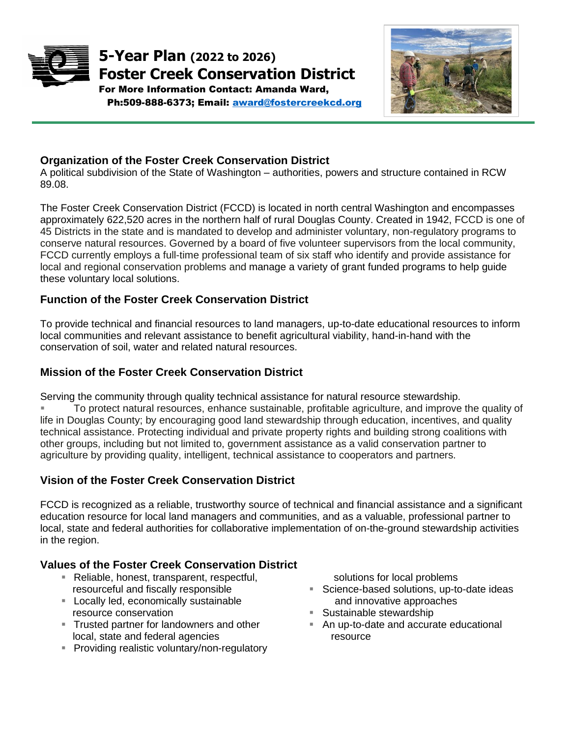



*Picture of Natural* 

# **Organization of the Foster Creek Conservation District**

A political subdivision of the State of Washington – authorities, powers and structure contained in RCW 89.08.

The Foster Creek Conservation District (FCCD) is located in north central Washington and encompasses approximately 622,520 acres in the northern half of rural Douglas County. Created in 1942, FCCD is one of 45 Districts in the state and is mandated to develop and administer voluntary, non-regulatory programs to conserve natural resources. Governed by a board of five volunteer supervisors from the local community, FCCD currently employs a full-time professional team of six staff who identify and provide assistance for local and regional conservation problems and manage a variety of grant funded programs to help guide these voluntary local solutions.

## **Function of the Foster Creek Conservation District**

To provide technical and financial resources to land managers, up-to-date educational resources to inform local communities and relevant assistance to benefit agricultural viability, hand-in-hand with the conservation of soil, water and related natural resources.

### **Mission of the Foster Creek Conservation District**

Serving the community through quality technical assistance for natural resource stewardship. To protect natural resources, enhance sustainable, profitable agriculture, and improve the quality of life in Douglas County; by encouraging good land stewardship through education, incentives, and quality technical assistance. Protecting individual and private property rights and building strong coalitions with other groups, including but not limited to, government assistance as a valid conservation partner to agriculture by providing quality, intelligent, technical assistance to cooperators and partners.

### **Vision of the Foster Creek Conservation District**

FCCD is recognized as a reliable, trustworthy source of technical and financial assistance and a significant education resource for local land managers and communities, and as a valuable, professional partner to local, state and federal authorities for collaborative implementation of on-the-ground stewardship activities in the region.

## **Values of the Foster Creek Conservation District**

- Reliable, honest, transparent, respectful, resourceful and fiscally responsible
- **EXEC** Locally led, economically sustainable resource conservation
- **Trusted partner for landowners and other** local, state and federal agencies
- **Providing realistic voluntary/non-regulatory**

solutions for local problems

- Science-based solutions, up-to-date ideas and innovative approaches
- Sustainable stewardship
- An up-to-date and accurate educational resource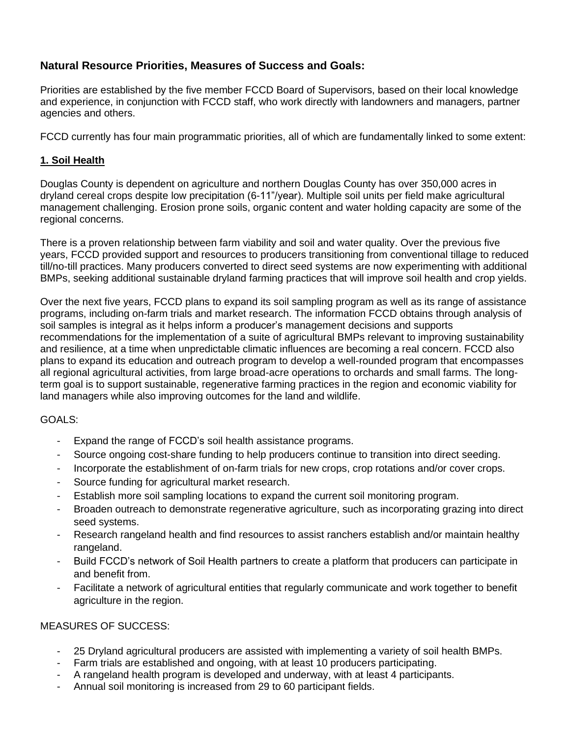## **Natural Resource Priorities, Measures of Success and Goals:**

Priorities are established by the five member FCCD Board of Supervisors, based on their local knowledge and experience, in conjunction with FCCD staff, who work directly with landowners and managers, partner agencies and others.

FCCD currently has four main programmatic priorities, all of which are fundamentally linked to some extent:

#### **1. Soil Health**

Douglas County is dependent on agriculture and northern Douglas County has over 350,000 acres in dryland cereal crops despite low precipitation (6-11"/year). Multiple soil units per field make agricultural management challenging. Erosion prone soils, organic content and water holding capacity are some of the regional concerns.

There is a proven relationship between farm viability and soil and water quality. Over the previous five years, FCCD provided support and resources to producers transitioning from conventional tillage to reduced till/no-till practices. Many producers converted to direct seed systems are now experimenting with additional BMPs, seeking additional sustainable dryland farming practices that will improve soil health and crop yields.

Over the next five years, FCCD plans to expand its soil sampling program as well as its range of assistance programs, including on-farm trials and market research. The information FCCD obtains through analysis of soil samples is integral as it helps inform a producer's management decisions and supports recommendations for the implementation of a suite of agricultural BMPs relevant to improving sustainability and resilience, at a time when unpredictable climatic influences are becoming a real concern. FCCD also plans to expand its education and outreach program to develop a well-rounded program that encompasses all regional agricultural activities, from large broad-acre operations to orchards and small farms. The longterm goal is to support sustainable, regenerative farming practices in the region and economic viability for land managers while also improving outcomes for the land and wildlife.

#### GOALS:

- Expand the range of FCCD's soil health assistance programs.
- Source ongoing cost-share funding to help producers continue to transition into direct seeding.
- Incorporate the establishment of on-farm trials for new crops, crop rotations and/or cover crops.
- Source funding for agricultural market research.
- Establish more soil sampling locations to expand the current soil monitoring program.
- Broaden outreach to demonstrate regenerative agriculture, such as incorporating grazing into direct seed systems.
- Research rangeland health and find resources to assist ranchers establish and/or maintain healthy rangeland.
- Build FCCD's network of Soil Health partners to create a platform that producers can participate in and benefit from.
- Facilitate a network of agricultural entities that regularly communicate and work together to benefit agriculture in the region.

#### MEASURES OF SUCCESS:

- 25 Dryland agricultural producers are assisted with implementing a variety of soil health BMPs.
- Farm trials are established and ongoing, with at least 10 producers participating.
- A rangeland health program is developed and underway, with at least 4 participants.
- Annual soil monitoring is increased from 29 to 60 participant fields.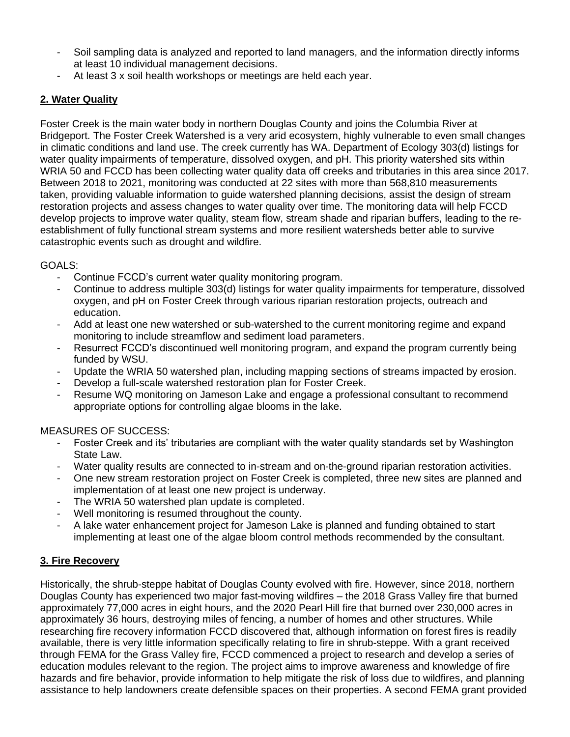- Soil sampling data is analyzed and reported to land managers, and the information directly informs at least 10 individual management decisions.
- At least 3 x soil health workshops or meetings are held each year.

### **2. Water Quality**

Foster Creek is the main water body in northern Douglas County and joins the Columbia River at Bridgeport. The Foster Creek Watershed is a very arid ecosystem, highly vulnerable to even small changes in climatic conditions and land use. The creek currently has WA. Department of Ecology 303(d) listings for water quality impairments of temperature, dissolved oxygen, and pH. This priority watershed sits within WRIA 50 and FCCD has been collecting water quality data off creeks and tributaries in this area since 2017. Between 2018 to 2021, monitoring was conducted at 22 sites with more than 568,810 measurements taken, providing valuable information to guide watershed planning decisions, assist the design of stream restoration projects and assess changes to water quality over time. The monitoring data will help FCCD develop projects to improve water quality, steam flow, stream shade and riparian buffers, leading to the reestablishment of fully functional stream systems and more resilient watersheds better able to survive catastrophic events such as drought and wildfire.

#### GOALS:

- Continue FCCD's current water quality monitoring program.
- Continue to address multiple 303(d) listings for water quality impairments for temperature, dissolved oxygen, and pH on Foster Creek through various riparian restoration projects, outreach and education.
- Add at least one new watershed or sub-watershed to the current monitoring regime and expand monitoring to include streamflow and sediment load parameters.
- Resurrect FCCD's discontinued well monitoring program, and expand the program currently being funded by WSU.
- Update the WRIA 50 watershed plan, including mapping sections of streams impacted by erosion.
- Develop a full-scale watershed restoration plan for Foster Creek.
- Resume WQ monitoring on Jameson Lake and engage a professional consultant to recommend appropriate options for controlling algae blooms in the lake.

#### MEASURES OF SUCCESS:

- Foster Creek and its' tributaries are compliant with the water quality standards set by Washington State Law.
- Water quality results are connected to in-stream and on-the-ground riparian restoration activities.
- One new stream restoration project on Foster Creek is completed, three new sites are planned and implementation of at least one new project is underway.
- The WRIA 50 watershed plan update is completed.
- Well monitoring is resumed throughout the county.
- A lake water enhancement project for Jameson Lake is planned and funding obtained to start implementing at least one of the algae bloom control methods recommended by the consultant.

### **3. Fire Recovery**

Historically, the shrub-steppe habitat of Douglas County evolved with fire. However, since 2018, northern Douglas County has experienced two major fast-moving wildfires – the 2018 Grass Valley fire that burned approximately 77,000 acres in eight hours, and the 2020 Pearl Hill fire that burned over 230,000 acres in approximately 36 hours, destroying miles of fencing, a number of homes and other structures. While researching fire recovery information FCCD discovered that, although information on forest fires is readily available, there is very little information specifically relating to fire in shrub-steppe. With a grant received through FEMA for the Grass Valley fire, FCCD commenced a project to research and develop a series of education modules relevant to the region. The project aims to improve awareness and knowledge of fire hazards and fire behavior, provide information to help mitigate the risk of loss due to wildfires, and planning assistance to help landowners create defensible spaces on their properties. A second FEMA grant provided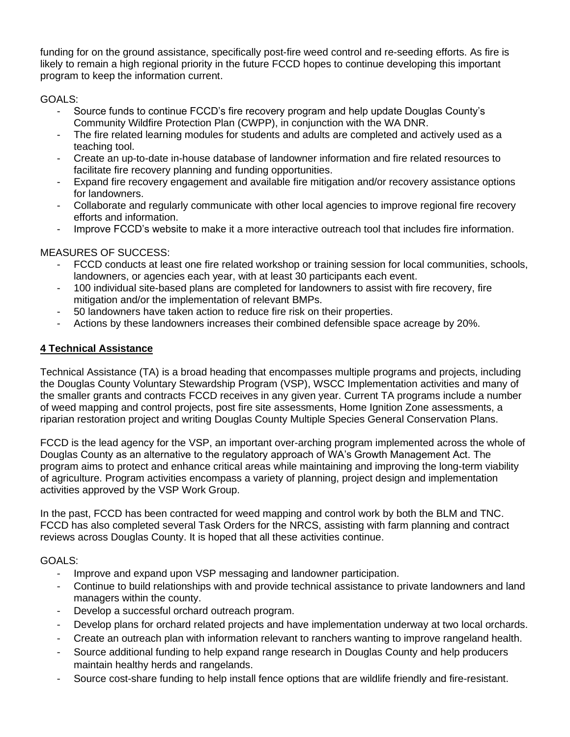funding for on the ground assistance, specifically post-fire weed control and re-seeding efforts. As fire is likely to remain a high regional priority in the future FCCD hopes to continue developing this important program to keep the information current.

### GOALS:

- Source funds to continue FCCD's fire recovery program and help update Douglas County's Community Wildfire Protection Plan (CWPP), in conjunction with the WA DNR.
- The fire related learning modules for students and adults are completed and actively used as a teaching tool.
- Create an up-to-date in-house database of landowner information and fire related resources to facilitate fire recovery planning and funding opportunities.
- Expand fire recovery engagement and available fire mitigation and/or recovery assistance options for landowners.
- Collaborate and regularly communicate with other local agencies to improve regional fire recovery efforts and information.
- Improve FCCD's website to make it a more interactive outreach tool that includes fire information.

### MEASURES OF SUCCESS:

- FCCD conducts at least one fire related workshop or training session for local communities, schools, landowners, or agencies each year, with at least 30 participants each event.
- 100 individual site-based plans are completed for landowners to assist with fire recovery, fire mitigation and/or the implementation of relevant BMPs.
- 50 landowners have taken action to reduce fire risk on their properties.
- Actions by these landowners increases their combined defensible space acreage by 20%.

### **4 Technical Assistance**

Technical Assistance (TA) is a broad heading that encompasses multiple programs and projects, including the Douglas County Voluntary Stewardship Program (VSP), WSCC Implementation activities and many of the smaller grants and contracts FCCD receives in any given year. Current TA programs include a number of weed mapping and control projects, post fire site assessments, Home Ignition Zone assessments, a riparian restoration project and writing Douglas County Multiple Species General Conservation Plans.

FCCD is the lead agency for the VSP, an important over-arching program implemented across the whole of Douglas County as an alternative to the regulatory approach of WA's Growth Management Act. The program aims to protect and enhance critical areas while maintaining and improving the long-term viability of agriculture. Program activities encompass a variety of planning, project design and implementation activities approved by the VSP Work Group.

In the past, FCCD has been contracted for weed mapping and control work by both the BLM and TNC. FCCD has also completed several Task Orders for the NRCS, assisting with farm planning and contract reviews across Douglas County. It is hoped that all these activities continue.

### GOALS:

- Improve and expand upon VSP messaging and landowner participation.
- Continue to build relationships with and provide technical assistance to private landowners and land managers within the county.
- Develop a successful orchard outreach program.
- Develop plans for orchard related projects and have implementation underway at two local orchards.
- Create an outreach plan with information relevant to ranchers wanting to improve rangeland health.
- Source additional funding to help expand range research in Douglas County and help producers maintain healthy herds and rangelands.
- Source cost-share funding to help install fence options that are wildlife friendly and fire-resistant.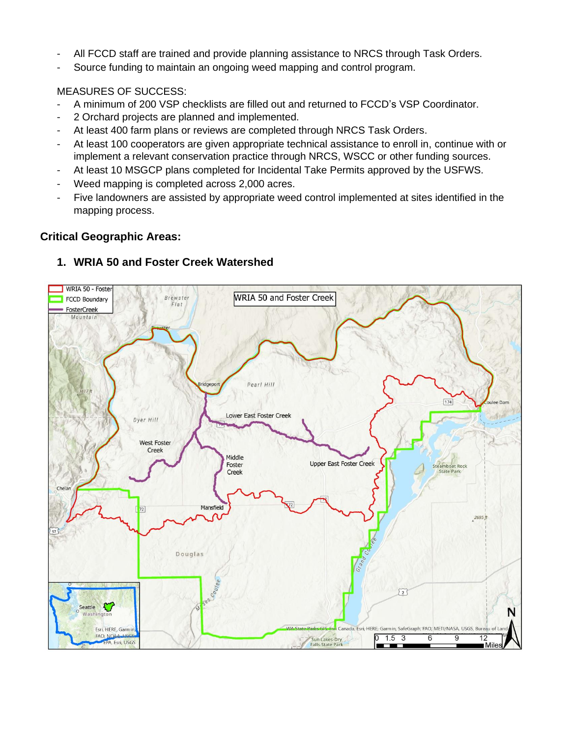- All FCCD staff are trained and provide planning assistance to NRCS through Task Orders.
- Source funding to maintain an ongoing weed mapping and control program.

#### MEASURES OF SUCCESS:

- A minimum of 200 VSP checklists are filled out and returned to FCCD's VSP Coordinator.
- 2 Orchard projects are planned and implemented.
- At least 400 farm plans or reviews are completed through NRCS Task Orders.
- At least 100 cooperators are given appropriate technical assistance to enroll in, continue with or implement a relevant conservation practice through NRCS, WSCC or other funding sources.
- At least 10 MSGCP plans completed for Incidental Take Permits approved by the USFWS.
- Weed mapping is completed across 2,000 acres.
- Five landowners are assisted by appropriate weed control implemented at sites identified in the mapping process.

#### **Critical Geographic Areas:**



## **1. WRIA 50 and Foster Creek Watershed**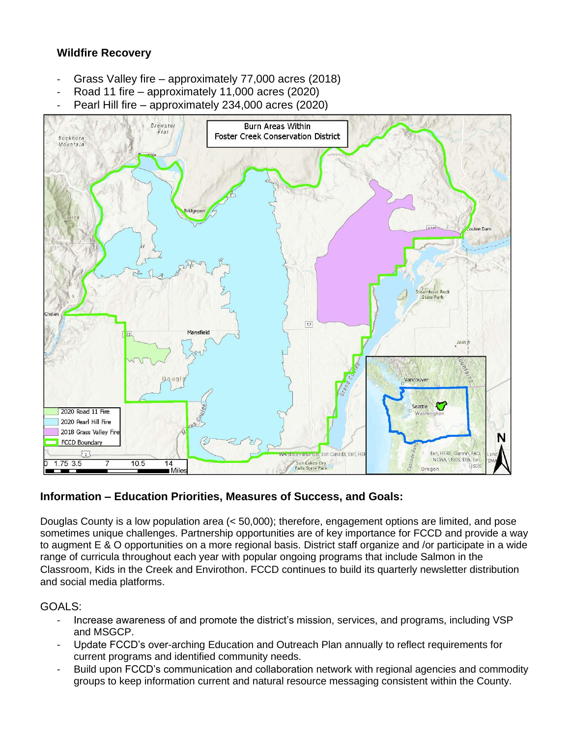## **Wildfire Recovery**

- Grass Valley fire approximately 77,000 acres (2018)
- Road 11 fire approximately 11,000 acres (2020)
- Pearl Hill fire approximately 234,000 acres (2020)



### **Information – Education Priorities, Measures of Success, and Goals:**

Douglas County is a low population area (< 50,000); therefore, engagement options are limited, and pose sometimes unique challenges. Partnership opportunities are of key importance for FCCD and provide a way to augment E & O opportunities on a more regional basis. District staff organize and /or participate in a wide range of curricula throughout each year with popular ongoing programs that include Salmon in the Classroom, Kids in the Creek and Envirothon. FCCD continues to build its quarterly newsletter distribution and social media platforms.

### GOALS:

- Increase awareness of and promote the district's mission, services, and programs, including VSP and MSGCP.
- Update FCCD's over-arching Education and Outreach Plan annually to reflect requirements for current programs and identified community needs.
- Build upon FCCD's communication and collaboration network with regional agencies and commodity groups to keep information current and natural resource messaging consistent within the County.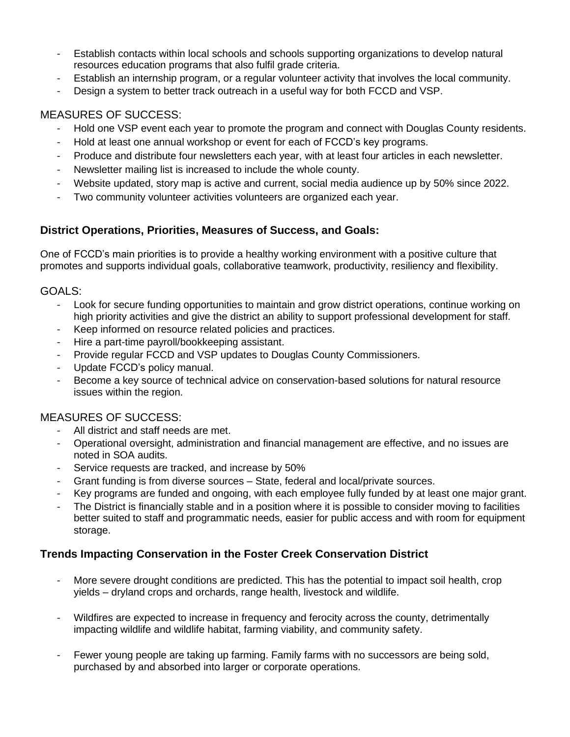- Establish contacts within local schools and schools supporting organizations to develop natural resources education programs that also fulfil grade criteria.
- Establish an internship program, or a regular volunteer activity that involves the local community.
- Design a system to better track outreach in a useful way for both FCCD and VSP.

## MEASURES OF SUCCESS:

- Hold one VSP event each year to promote the program and connect with Douglas County residents.
- Hold at least one annual workshop or event for each of FCCD's key programs.
- Produce and distribute four newsletters each year, with at least four articles in each newsletter.
- Newsletter mailing list is increased to include the whole county.
- Website updated, story map is active and current, social media audience up by 50% since 2022.
- Two community volunteer activities volunteers are organized each year.

# **District Operations, Priorities, Measures of Success, and Goals:**

One of FCCD's main priorities is to provide a healthy working environment with a positive culture that promotes and supports individual goals, collaborative teamwork, productivity, resiliency and flexibility.

## GOALS:

- Look for secure funding opportunities to maintain and grow district operations, continue working on high priority activities and give the district an ability to support professional development for staff.
- Keep informed on resource related policies and practices.
- Hire a part-time payroll/bookkeeping assistant.
- Provide regular FCCD and VSP updates to Douglas County Commissioners.
- Update FCCD's policy manual.
- Become a key source of technical advice on conservation-based solutions for natural resource issues within the region.

## MEASURES OF SUCCESS:

- All district and staff needs are met.
- Operational oversight, administration and financial management are effective, and no issues are noted in SOA audits.
- Service requests are tracked, and increase by 50%
- Grant funding is from diverse sources State, federal and local/private sources.
- Key programs are funded and ongoing, with each employee fully funded by at least one major grant.
- The District is financially stable and in a position where it is possible to consider moving to facilities better suited to staff and programmatic needs, easier for public access and with room for equipment storage.

## **Trends Impacting Conservation in the Foster Creek Conservation District**

- More severe drought conditions are predicted. This has the potential to impact soil health, crop yields – dryland crops and orchards, range health, livestock and wildlife.
- Wildfires are expected to increase in frequency and ferocity across the county, detrimentally impacting wildlife and wildlife habitat, farming viability, and community safety.
- Fewer young people are taking up farming. Family farms with no successors are being sold, purchased by and absorbed into larger or corporate operations.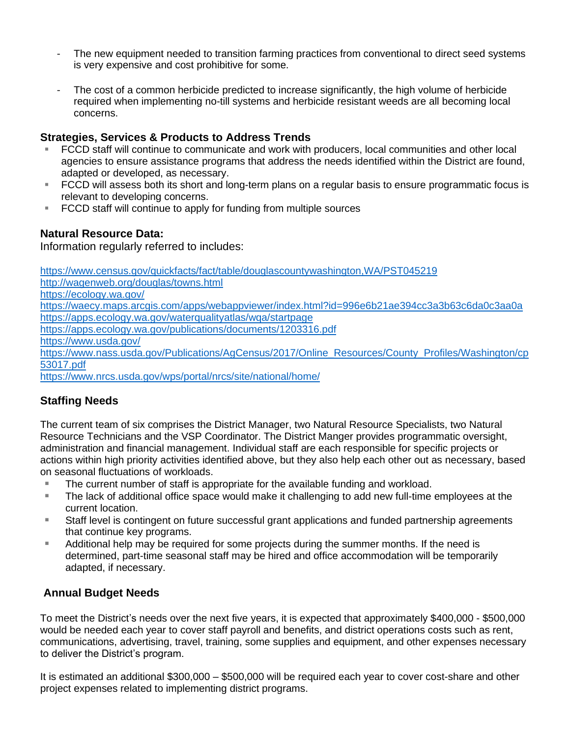- The new equipment needed to transition farming practices from conventional to direct seed systems is very expensive and cost prohibitive for some.
- The cost of a common herbicide predicted to increase significantly, the high volume of herbicide required when implementing no-till systems and herbicide resistant weeds are all becoming local concerns.

## **Strategies, Services & Products to Address Trends**

- FCCD staff will continue to communicate and work with producers, local communities and other local agencies to ensure assistance programs that address the needs identified within the District are found, adapted or developed, as necessary.
- FCCD will assess both its short and long-term plans on a regular basis to ensure programmatic focus is relevant to developing concerns.
- FCCD staff will continue to apply for funding from multiple sources

### **Natural Resource Data:**

Information regularly referred to includes:

<https://www.census.gov/quickfacts/fact/table/douglascountywashington,WA/PST045219>

<http://wagenweb.org/douglas/towns.html>

<https://ecology.wa.gov/>

<https://waecy.maps.arcgis.com/apps/webappviewer/index.html?id=996e6b21ae394cc3a3b63c6da0c3aa0a> <https://apps.ecology.wa.gov/waterqualityatlas/wqa/startpage>

<https://apps.ecology.wa.gov/publications/documents/1203316.pdf>

<https://www.usda.gov/>

[https://www.nass.usda.gov/Publications/AgCensus/2017/Online\\_Resources/County\\_Profiles/Washington/cp](https://www.nass.usda.gov/Publications/AgCensus/2017/Online_Resources/County_Profiles/Washington/cp53017.pdf) [53017.pdf](https://www.nass.usda.gov/Publications/AgCensus/2017/Online_Resources/County_Profiles/Washington/cp53017.pdf)

<https://www.nrcs.usda.gov/wps/portal/nrcs/site/national/home/>

## **Staffing Needs**

The current team of six comprises the District Manager, two Natural Resource Specialists, two Natural Resource Technicians and the VSP Coordinator. The District Manger provides programmatic oversight, administration and financial management. Individual staff are each responsible for specific projects or actions within high priority activities identified above, but they also help each other out as necessary, based on seasonal fluctuations of workloads.

- The current number of staff is appropriate for the available funding and workload.
- The lack of additional office space would make it challenging to add new full-time employees at the current location.
- Staff level is contingent on future successful grant applications and funded partnership agreements that continue key programs.
- Additional help may be required for some projects during the summer months. If the need is determined, part-time seasonal staff may be hired and office accommodation will be temporarily adapted, if necessary.

## **Annual Budget Needs**

To meet the District's needs over the next five years, it is expected that approximately \$400,000 - \$500,000 would be needed each year to cover staff payroll and benefits, and district operations costs such as rent, communications, advertising, travel, training, some supplies and equipment, and other expenses necessary to deliver the District's program.

It is estimated an additional \$300,000 – \$500,000 will be required each year to cover cost-share and other project expenses related to implementing district programs.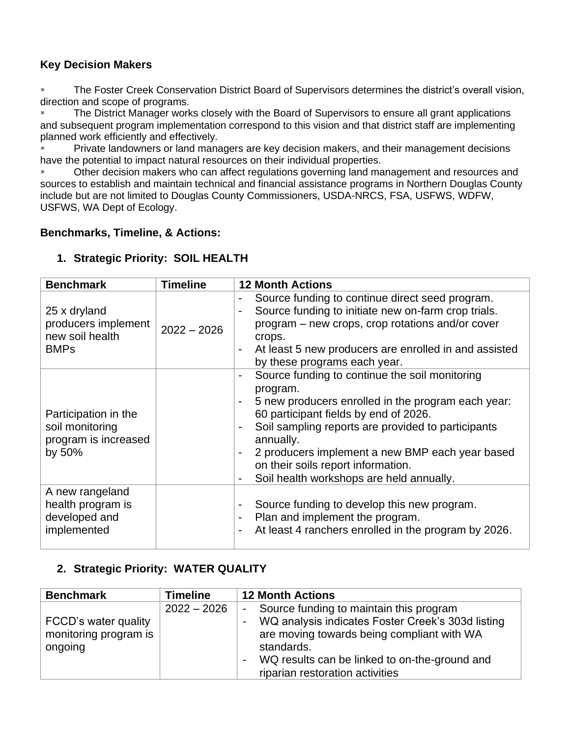# **Key Decision Makers**

■ The Foster Creek Conservation District Board of Supervisors determines the district's overall vision, direction and scope of programs.

■ The District Manager works closely with the Board of Supervisors to ensure all grant applications and subsequent program implementation correspond to this vision and that district staff are implementing planned work efficiently and effectively.

Private landowners or land managers are key decision makers, and their management decisions have the potential to impact natural resources on their individual properties.

Other decision makers who can affect regulations governing land management and resources and sources to establish and maintain technical and financial assistance programs in Northern Douglas County include but are not limited to Douglas County Commissioners, USDA-NRCS, FSA, USFWS, WDFW, USFWS, WA Dept of Ecology.

## **Benchmarks, Timeline, & Actions:**

## **1. Strategic Priority: SOIL HEALTH**

| <b>Benchmark</b>                                                          | <b>Timeline</b> | <b>12 Month Actions</b>                                                                                                                                                                                                                                                                                                                                                                                                           |
|---------------------------------------------------------------------------|-----------------|-----------------------------------------------------------------------------------------------------------------------------------------------------------------------------------------------------------------------------------------------------------------------------------------------------------------------------------------------------------------------------------------------------------------------------------|
| 25 x dryland<br>producers implement<br>new soil health<br><b>BMPs</b>     | $2022 - 2026$   | Source funding to continue direct seed program.<br>Source funding to initiate new on-farm crop trials.<br>$\overline{\phantom{a}}$<br>program – new crops, crop rotations and/or cover<br>crops.<br>At least 5 new producers are enrolled in and assisted<br>$\overline{\phantom{a}}$<br>by these programs each year.                                                                                                             |
| Participation in the<br>soil monitoring<br>program is increased<br>by 50% |                 | Source funding to continue the soil monitoring<br>$\overline{\phantom{a}}$<br>program.<br>5 new producers enrolled in the program each year:<br>60 participant fields by end of 2026.<br>Soil sampling reports are provided to participants<br>$\blacksquare$<br>annually.<br>2 producers implement a new BMP each year based<br>on their soils report information.<br>Soil health workshops are held annually.<br>$\blacksquare$ |
| A new rangeland<br>health program is<br>developed and<br>implemented      |                 | Source funding to develop this new program.<br>$\blacksquare$<br>Plan and implement the program.<br>At least 4 ranchers enrolled in the program by 2026.<br>$\blacksquare$                                                                                                                                                                                                                                                        |

# **2. Strategic Priority: WATER QUALITY**

| <b>Benchmark</b>                                         | <b>Timeline</b> | <b>12 Month Actions</b>                                                                                                                                                                                                                                                                            |
|----------------------------------------------------------|-----------------|----------------------------------------------------------------------------------------------------------------------------------------------------------------------------------------------------------------------------------------------------------------------------------------------------|
| FCCD's water quality<br>monitoring program is<br>ongoing | $2022 - 2026$   | Source funding to maintain this program<br>$\blacksquare$<br>WQ analysis indicates Foster Creek's 303d listing<br>$\blacksquare$<br>are moving towards being compliant with WA<br>standards.<br>WQ results can be linked to on-the-ground and<br>$\blacksquare$<br>riparian restoration activities |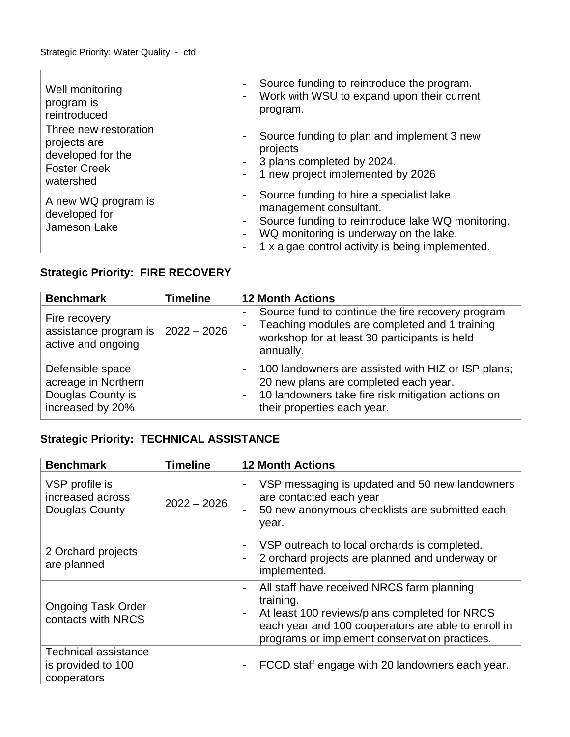| Well monitoring<br>program is<br>reintroduced                                                  | Source funding to reintroduce the program.<br>$\overline{\phantom{a}}$<br>Work with WSU to expand upon their current<br>$\blacksquare$<br>program.                                                                                                                  |
|------------------------------------------------------------------------------------------------|---------------------------------------------------------------------------------------------------------------------------------------------------------------------------------------------------------------------------------------------------------------------|
| Three new restoration<br>projects are<br>developed for the<br><b>Foster Creek</b><br>watershed | Source funding to plan and implement 3 new<br>$\blacksquare$<br>projects<br>3 plans completed by 2024.<br>$\sim$<br>1 new project implemented by 2026<br>$\sim$                                                                                                     |
| A new WQ program is<br>developed for<br>Jameson Lake                                           | Source funding to hire a specialist lake<br>management consultant.<br>Source funding to reintroduce lake WQ monitoring.<br>$\blacksquare$<br>WQ monitoring is underway on the lake.<br>$\overline{\phantom{a}}$<br>1 x algae control activity is being implemented. |

# **Strategic Priority: FIRE RECOVERY**

| <b>Benchmark</b>                                                                 | <b>Timeline</b> | <b>12 Month Actions</b>                                                                                                                                                                                      |
|----------------------------------------------------------------------------------|-----------------|--------------------------------------------------------------------------------------------------------------------------------------------------------------------------------------------------------------|
| Fire recovery<br>assistance program is<br>active and ongoing                     | $2022 - 2026$   | Source fund to continue the fire recovery program<br>Teaching modules are completed and 1 training<br>$\blacksquare$<br>workshop for at least 30 participants is held<br>annually.                           |
| Defensible space<br>acreage in Northern<br>Douglas County is<br>increased by 20% |                 | 100 landowners are assisted with HIZ or ISP plans;<br>$\blacksquare$<br>20 new plans are completed each year.<br>10 landowners take fire risk mitigation actions on<br>$\sim$<br>their properties each year. |

# **Strategic Priority: TECHNICAL ASSISTANCE**

| <b>Benchmark</b>                                                 | <b>Timeline</b> | <b>12 Month Actions</b>                                                                                                                                                                                                    |
|------------------------------------------------------------------|-----------------|----------------------------------------------------------------------------------------------------------------------------------------------------------------------------------------------------------------------------|
| VSP profile is<br>increased across<br>Douglas County             | $2022 - 2026$   | VSP messaging is updated and 50 new landowners<br>are contacted each year<br>50 new anonymous checklists are submitted each<br>year.                                                                                       |
| 2 Orchard projects<br>are planned                                |                 | VSP outreach to local orchards is completed.<br>2 orchard projects are planned and underway or<br>implemented.                                                                                                             |
| <b>Ongoing Task Order</b><br>contacts with NRCS                  |                 | All staff have received NRCS farm planning<br>$\sim$<br>training.<br>At least 100 reviews/plans completed for NRCS<br>each year and 100 cooperators are able to enroll in<br>programs or implement conservation practices. |
| <b>Technical assistance</b><br>is provided to 100<br>cooperators |                 | FCCD staff engage with 20 landowners each year.                                                                                                                                                                            |